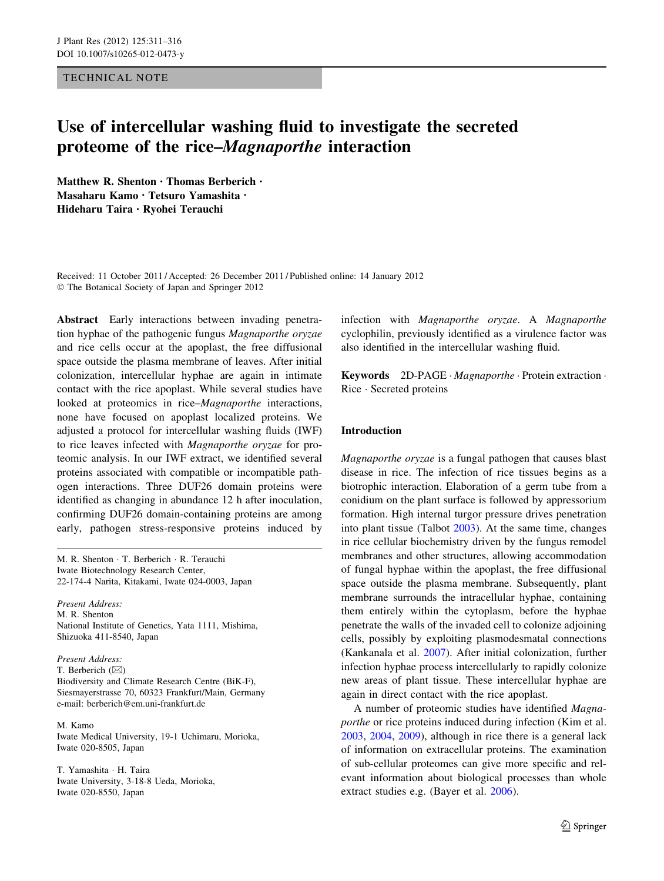# TECHNICAL NOTE

# Use of intercellular washing fluid to investigate the secreted proteome of the rice–Magnaporthe interaction

Matthew R. Shenton • Thomas Berberich • Masaharu Kamo • Tetsuro Yamashita • Hideharu Taira • Ryohei Terauchi

Received: 11 October 2011 / Accepted: 26 December 2011 / Published online: 14 January 2012 - The Botanical Society of Japan and Springer 2012

Abstract Early interactions between invading penetration hyphae of the pathogenic fungus Magnaporthe oryzae and rice cells occur at the apoplast, the free diffusional space outside the plasma membrane of leaves. After initial colonization, intercellular hyphae are again in intimate contact with the rice apoplast. While several studies have looked at proteomics in rice–Magnaporthe interactions, none have focused on apoplast localized proteins. We adjusted a protocol for intercellular washing fluids (IWF) to rice leaves infected with Magnaporthe oryzae for proteomic analysis. In our IWF extract, we identified several proteins associated with compatible or incompatible pathogen interactions. Three DUF26 domain proteins were identified as changing in abundance 12 h after inoculation, confirming DUF26 domain-containing proteins are among early, pathogen stress-responsive proteins induced by

M. R. Shenton · T. Berberich · R. Terauchi Iwate Biotechnology Research Center, 22-174-4 Narita, Kitakami, Iwate 024-0003, Japan

Present Address: M. R. Shenton National Institute of Genetics, Yata 1111, Mishima, Shizuoka 411-8540, Japan

Present Address: T. Berberich  $(\boxtimes)$ Biodiversity and Climate Research Centre (BiK-F), Siesmayerstrasse 70, 60323 Frankfurt/Main, Germany e-mail: berberich@em.uni-frankfurt.de

M. Kamo Iwate Medical University, 19-1 Uchimaru, Morioka, Iwate 020-8505, Japan

T. Yamashita - H. Taira Iwate University, 3-18-8 Ueda, Morioka, Iwate 020-8550, Japan

infection with Magnaporthe oryzae. A Magnaporthe cyclophilin, previously identified as a virulence factor was also identified in the intercellular washing fluid.

Keywords 2D-PAGE · Magnaporthe · Protein extraction · Rice - Secreted proteins

## Introduction

Magnaporthe oryzae is a fungal pathogen that causes blast disease in rice. The infection of rice tissues begins as a biotrophic interaction. Elaboration of a germ tube from a conidium on the plant surface is followed by appressorium formation. High internal turgor pressure drives penetration into plant tissue (Talbot [2003\)](#page-5-0). At the same time, changes in rice cellular biochemistry driven by the fungus remodel membranes and other structures, allowing accommodation of fungal hyphae within the apoplast, the free diffusional space outside the plasma membrane. Subsequently, plant membrane surrounds the intracellular hyphae, containing them entirely within the cytoplasm, before the hyphae penetrate the walls of the invaded cell to colonize adjoining cells, possibly by exploiting plasmodesmatal connections (Kankanala et al. [2007](#page-5-0)). After initial colonization, further infection hyphae process intercellularly to rapidly colonize new areas of plant tissue. These intercellular hyphae are again in direct contact with the rice apoplast.

A number of proteomic studies have identified Magnaporthe or rice proteins induced during infection (Kim et al. [2003](#page-5-0), [2004,](#page-5-0) [2009](#page-5-0)), although in rice there is a general lack of information on extracellular proteins. The examination of sub-cellular proteomes can give more specific and relevant information about biological processes than whole extract studies e.g. (Bayer et al. [2006\)](#page-5-0).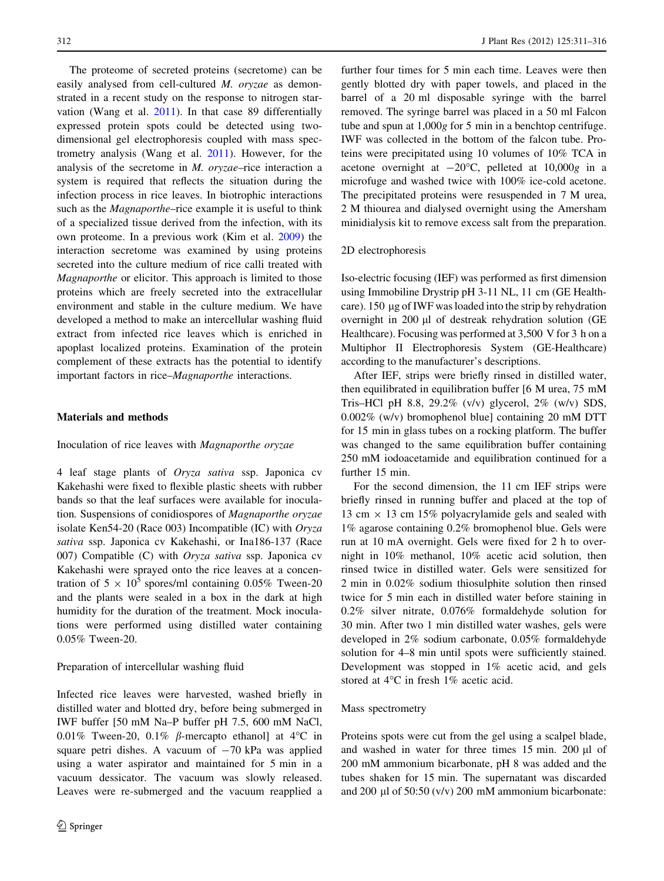The proteome of secreted proteins (secretome) can be easily analysed from cell-cultured M. oryzae as demonstrated in a recent study on the response to nitrogen starvation (Wang et al. [2011](#page-5-0)). In that case 89 differentially expressed protein spots could be detected using twodimensional gel electrophoresis coupled with mass spectrometry analysis (Wang et al. [2011\)](#page-5-0). However, for the analysis of the secretome in M. oryzae–rice interaction a system is required that reflects the situation during the infection process in rice leaves. In biotrophic interactions such as the *Magnaporthe–rice* example it is useful to think of a specialized tissue derived from the infection, with its own proteome. In a previous work (Kim et al. [2009\)](#page-5-0) the interaction secretome was examined by using proteins secreted into the culture medium of rice calli treated with Magnaporthe or elicitor. This approach is limited to those proteins which are freely secreted into the extracellular environment and stable in the culture medium. We have developed a method to make an intercellular washing fluid extract from infected rice leaves which is enriched in apoplast localized proteins. Examination of the protein complement of these extracts has the potential to identify important factors in rice–Magnaporthe interactions.

### Materials and methods

#### Inoculation of rice leaves with Magnaporthe oryzae

4 leaf stage plants of Oryza sativa ssp. Japonica cv Kakehashi were fixed to flexible plastic sheets with rubber bands so that the leaf surfaces were available for inoculation. Suspensions of conidiospores of Magnaporthe oryzae isolate Ken54-20 (Race 003) Incompatible (IC) with Oryza sativa ssp. Japonica cv Kakehashi, or Ina186-137 (Race 007) Compatible (C) with Oryza sativa ssp. Japonica cv Kakehashi were sprayed onto the rice leaves at a concentration of  $5 \times 10^5$  spores/ml containing 0.05% Tween-20 and the plants were sealed in a box in the dark at high humidity for the duration of the treatment. Mock inoculations were performed using distilled water containing 0.05% Tween-20.

## Preparation of intercellular washing fluid

Infected rice leaves were harvested, washed briefly in distilled water and blotted dry, before being submerged in IWF buffer [50 mM Na–P buffer pH 7.5, 600 mM NaCl, 0.01% Tween-20, 0.1%  $\beta$ -mercapto ethanol at 4°C in square petri dishes. A vacuum of  $-70$  kPa was applied using a water aspirator and maintained for 5 min in a vacuum dessicator. The vacuum was slowly released. Leaves were re-submerged and the vacuum reapplied a

further four times for 5 min each time. Leaves were then gently blotted dry with paper towels, and placed in the barrel of a 20 ml disposable syringe with the barrel removed. The syringe barrel was placed in a 50 ml Falcon tube and spun at 1,000g for 5 min in a benchtop centrifuge. IWF was collected in the bottom of the falcon tube. Proteins were precipitated using 10 volumes of 10% TCA in acetone overnight at  $-20^{\circ}$ C, pelleted at  $10,000g$  in a microfuge and washed twice with 100% ice-cold acetone. The precipitated proteins were resuspended in 7 M urea, 2 M thiourea and dialysed overnight using the Amersham minidialysis kit to remove excess salt from the preparation.

### 2D electrophoresis

Iso-electric focusing (IEF) was performed as first dimension using Immobiline Drystrip pH 3-11 NL, 11 cm (GE Healthcare). 150 μg of IWF was loaded into the strip by rehydration overnight in  $200 \mu l$  of destreak rehydration solution (GE Healthcare). Focusing was performed at 3,500 V for 3 h on a Multiphor II Electrophoresis System (GE-Healthcare) according to the manufacturer's descriptions.

After IEF, strips were briefly rinsed in distilled water, then equilibrated in equilibration buffer [6 M urea, 75 mM Tris–HCl pH 8.8, 29.2% (v/v) glycerol, 2% (w/v) SDS, 0.002% (w/v) bromophenol blue] containing 20 mM DTT for 15 min in glass tubes on a rocking platform. The buffer was changed to the same equilibration buffer containing 250 mM iodoacetamide and equilibration continued for a further 15 min.

For the second dimension, the 11 cm IEF strips were briefly rinsed in running buffer and placed at the top of 13 cm  $\times$  13 cm 15% polyacrylamide gels and sealed with 1% agarose containing 0.2% bromophenol blue. Gels were run at 10 mA overnight. Gels were fixed for 2 h to overnight in 10% methanol, 10% acetic acid solution, then rinsed twice in distilled water. Gels were sensitized for 2 min in 0.02% sodium thiosulphite solution then rinsed twice for 5 min each in distilled water before staining in 0.2% silver nitrate, 0.076% formaldehyde solution for 30 min. After two 1 min distilled water washes, gels were developed in 2% sodium carbonate, 0.05% formaldehyde solution for 4–8 min until spots were sufficiently stained. Development was stopped in 1% acetic acid, and gels stored at  $4^{\circ}$ C in fresh 1% acetic acid.

#### Mass spectrometry

Proteins spots were cut from the gel using a scalpel blade, and washed in water for three times  $15$  min.  $200 \mu l$  of 200 mM ammonium bicarbonate, pH 8 was added and the tubes shaken for 15 min. The supernatant was discarded and 200  $\mu$ l of 50:50 (v/v) 200 mM ammonium bicarbonate: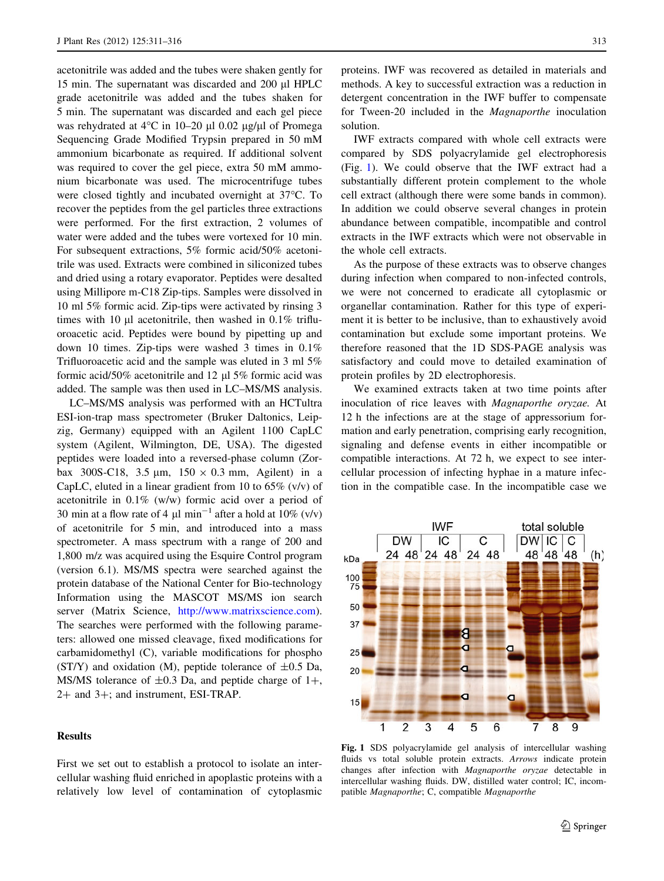acetonitrile was added and the tubes were shaken gently for 15 min. The supernatant was discarded and 200 µl HPLC grade acetonitrile was added and the tubes shaken for 5 min. The supernatant was discarded and each gel piece was rehydrated at  $4^{\circ}$ C in 10–20 µl 0.02 µg/µl of Promega Sequencing Grade Modified Trypsin prepared in 50 mM ammonium bicarbonate as required. If additional solvent was required to cover the gel piece, extra 50 mM ammonium bicarbonate was used. The microcentrifuge tubes were closed tightly and incubated overnight at 37°C. To recover the peptides from the gel particles three extractions were performed. For the first extraction, 2 volumes of water were added and the tubes were vortexed for 10 min. For subsequent extractions, 5% formic acid/50% acetonitrile was used. Extracts were combined in siliconized tubes and dried using a rotary evaporator. Peptides were desalted using Millipore m-C18 Zip-tips. Samples were dissolved in 10 ml 5% formic acid. Zip-tips were activated by rinsing 3 times with 10  $\mu$ l acetonitrile, then washed in 0.1% trifluoroacetic acid. Peptides were bound by pipetting up and down 10 times. Zip-tips were washed 3 times in 0.1% Trifluoroacetic acid and the sample was eluted in 3 ml 5% formic acid/50% acetonitrile and 12  $\mu$ 1 5% formic acid was added. The sample was then used in LC–MS/MS analysis.

LC–MS/MS analysis was performed with an HCTultra ESI-ion-trap mass spectrometer (Bruker Daltonics, Leipzig, Germany) equipped with an Agilent 1100 CapLC system (Agilent, Wilmington, DE, USA). The digested peptides were loaded into a reversed-phase column (Zorbax 300S-C18, 3.5  $\mu$ m, 150  $\times$  0.3 mm, Agilent) in a CapLC, eluted in a linear gradient from 10 to  $65\%$  (v/v) of acetonitrile in 0.1% (w/w) formic acid over a period of 30 min at a flow rate of 4  $\mu$ l min<sup>-1</sup> after a hold at 10% (v/v) of acetonitrile for 5 min, and introduced into a mass spectrometer. A mass spectrum with a range of 200 and 1,800 m/z was acquired using the Esquire Control program (version 6.1). MS/MS spectra were searched against the protein database of the National Center for Bio-technology Information using the MASCOT MS/MS ion search server (Matrix Science, <http://www.matrixscience.com>). The searches were performed with the following parameters: allowed one missed cleavage, fixed modifications for carbamidomethyl (C), variable modifications for phospho (ST/Y) and oxidation (M), peptide tolerance of  $\pm 0.5$  Da, MS/MS tolerance of  $\pm 0.3$  Da, and peptide charge of 1+,  $2+$  and  $3+$ ; and instrument, ESI-TRAP.

# Results

First we set out to establish a protocol to isolate an intercellular washing fluid enriched in apoplastic proteins with a relatively low level of contamination of cytoplasmic proteins. IWF was recovered as detailed in materials and methods. A key to successful extraction was a reduction in detergent concentration in the IWF buffer to compensate for Tween-20 included in the Magnaporthe inoculation solution.

IWF extracts compared with whole cell extracts were compared by SDS polyacrylamide gel electrophoresis (Fig. 1). We could observe that the IWF extract had a substantially different protein complement to the whole cell extract (although there were some bands in common). In addition we could observe several changes in protein abundance between compatible, incompatible and control extracts in the IWF extracts which were not observable in the whole cell extracts.

As the purpose of these extracts was to observe changes during infection when compared to non-infected controls, we were not concerned to eradicate all cytoplasmic or organellar contamination. Rather for this type of experiment it is better to be inclusive, than to exhaustively avoid contamination but exclude some important proteins. We therefore reasoned that the 1D SDS-PAGE analysis was satisfactory and could move to detailed examination of protein profiles by 2D electrophoresis.

We examined extracts taken at two time points after inoculation of rice leaves with Magnaporthe oryzae. At 12 h the infections are at the stage of appressorium formation and early penetration, comprising early recognition, signaling and defense events in either incompatible or compatible interactions. At 72 h, we expect to see intercellular procession of infecting hyphae in a mature infection in the compatible case. In the incompatible case we



Fig. 1 SDS polyacrylamide gel analysis of intercellular washing fluids vs total soluble protein extracts. Arrows indicate protein changes after infection with Magnaporthe oryzae detectable in intercellular washing fluids. DW, distilled water control; IC, incompatible Magnaporthe; C, compatible Magnaporthe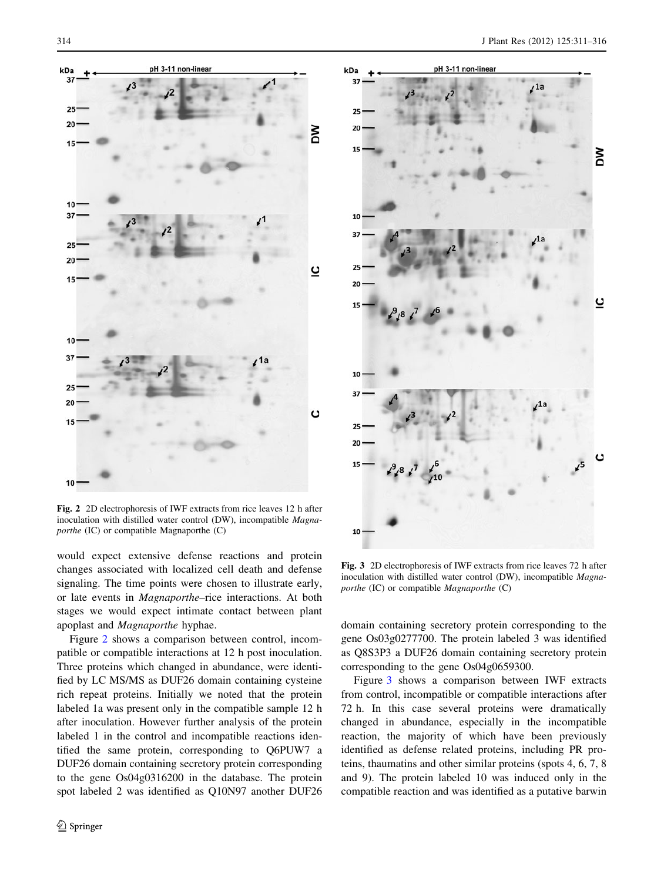

Fig. 2 2D electrophoresis of IWF extracts from rice leaves 12 h after inoculation with distilled water control (DW), incompatible Magnaporthe (IC) or compatible Magnaporthe (C)

would expect extensive defense reactions and protein changes associated with localized cell death and defense signaling. The time points were chosen to illustrate early, or late events in Magnaporthe–rice interactions. At both stages we would expect intimate contact between plant apoplast and Magnaporthe hyphae.

Figure 2 shows a comparison between control, incompatible or compatible interactions at 12 h post inoculation. Three proteins which changed in abundance, were identified by LC MS/MS as DUF26 domain containing cysteine rich repeat proteins. Initially we noted that the protein labeled 1a was present only in the compatible sample 12 h after inoculation. However further analysis of the protein labeled 1 in the control and incompatible reactions identified the same protein, corresponding to Q6PUW7 a DUF26 domain containing secretory protein corresponding to the gene Os04g0316200 in the database. The protein spot labeled 2 was identified as Q10N97 another DUF26



Fig. 3 2D electrophoresis of IWF extracts from rice leaves 72 h after inoculation with distilled water control (DW), incompatible Magnaporthe (IC) or compatible Magnaporthe (C)

domain containing secretory protein corresponding to the gene Os03g0277700. The protein labeled 3 was identified as Q8S3P3 a DUF26 domain containing secretory protein corresponding to the gene Os04g0659300.

Figure 3 shows a comparison between IWF extracts from control, incompatible or compatible interactions after 72 h. In this case several proteins were dramatically changed in abundance, especially in the incompatible reaction, the majority of which have been previously identified as defense related proteins, including PR proteins, thaumatins and other similar proteins (spots 4, 6, 7, 8 and 9). The protein labeled 10 was induced only in the compatible reaction and was identified as a putative barwin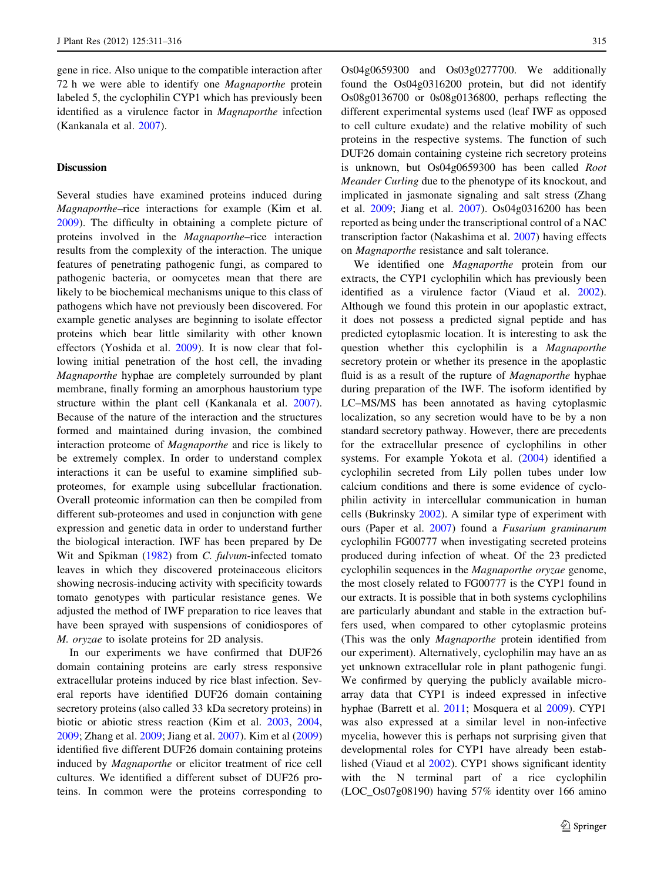gene in rice. Also unique to the compatible interaction after 72 h we were able to identify one Magnaporthe protein labeled 5, the cyclophilin CYP1 which has previously been identified as a virulence factor in Magnaporthe infection (Kankanala et al. [2007](#page-5-0)).

# **Discussion**

Several studies have examined proteins induced during Magnaporthe–rice interactions for example (Kim et al. [2009\)](#page-5-0). The difficulty in obtaining a complete picture of proteins involved in the Magnaporthe–rice interaction results from the complexity of the interaction. The unique features of penetrating pathogenic fungi, as compared to pathogenic bacteria, or oomycetes mean that there are likely to be biochemical mechanisms unique to this class of pathogens which have not previously been discovered. For example genetic analyses are beginning to isolate effector proteins which bear little similarity with other known effectors (Yoshida et al. [2009\)](#page-5-0). It is now clear that following initial penetration of the host cell, the invading Magnaporthe hyphae are completely surrounded by plant membrane, finally forming an amorphous haustorium type structure within the plant cell (Kankanala et al. [2007](#page-5-0)). Because of the nature of the interaction and the structures formed and maintained during invasion, the combined interaction proteome of Magnaporthe and rice is likely to be extremely complex. In order to understand complex interactions it can be useful to examine simplified subproteomes, for example using subcellular fractionation. Overall proteomic information can then be compiled from different sub-proteomes and used in conjunction with gene expression and genetic data in order to understand further the biological interaction. IWF has been prepared by De Wit and Spikman ([1982\)](#page-5-0) from C. fulvum-infected tomato leaves in which they discovered proteinaceous elicitors showing necrosis-inducing activity with specificity towards tomato genotypes with particular resistance genes. We adjusted the method of IWF preparation to rice leaves that have been sprayed with suspensions of conidiospores of M. oryzae to isolate proteins for 2D analysis.

In our experiments we have confirmed that DUF26 domain containing proteins are early stress responsive extracellular proteins induced by rice blast infection. Several reports have identified DUF26 domain containing secretory proteins (also called 33 kDa secretory proteins) in biotic or abiotic stress reaction (Kim et al. [2003](#page-5-0), [2004,](#page-5-0) [2009;](#page-5-0) Zhang et al. [2009](#page-5-0); Jiang et al. [2007](#page-5-0)). Kim et al ([2009\)](#page-5-0) identified five different DUF26 domain containing proteins induced by Magnaporthe or elicitor treatment of rice cell cultures. We identified a different subset of DUF26 proteins. In common were the proteins corresponding to Os04g0659300 and Os03g0277700. We additionally found the Os04g0316200 protein, but did not identify Os08g0136700 or 0s08g0136800, perhaps reflecting the different experimental systems used (leaf IWF as opposed to cell culture exudate) and the relative mobility of such proteins in the respective systems. The function of such DUF26 domain containing cysteine rich secretory proteins is unknown, but Os04g0659300 has been called Root Meander Curling due to the phenotype of its knockout, and implicated in jasmonate signaling and salt stress (Zhang et al. [2009](#page-5-0); Jiang et al. [2007\)](#page-5-0). Os04g0316200 has been reported as being under the transcriptional control of a NAC transcription factor (Nakashima et al. [2007\)](#page-5-0) having effects on Magnaporthe resistance and salt tolerance.

We identified one Magnaporthe protein from our extracts, the CYP1 cyclophilin which has previously been identified as a virulence factor (Viaud et al. [2002](#page-5-0)). Although we found this protein in our apoplastic extract, it does not possess a predicted signal peptide and has predicted cytoplasmic location. It is interesting to ask the question whether this cyclophilin is a Magnaporthe secretory protein or whether its presence in the apoplastic fluid is as a result of the rupture of *Magnaporthe* hyphae during preparation of the IWF. The isoform identified by LC–MS/MS has been annotated as having cytoplasmic localization, so any secretion would have to be by a non standard secretory pathway. However, there are precedents for the extracellular presence of cyclophilins in other systems. For example Yokota et al. [\(2004](#page-5-0)) identified a cyclophilin secreted from Lily pollen tubes under low calcium conditions and there is some evidence of cyclophilin activity in intercellular communication in human cells (Bukrinsky [2002\)](#page-5-0). A similar type of experiment with ours (Paper et al. [2007](#page-5-0)) found a Fusarium graminarum cyclophilin FG00777 when investigating secreted proteins produced during infection of wheat. Of the 23 predicted cyclophilin sequences in the Magnaporthe oryzae genome, the most closely related to FG00777 is the CYP1 found in our extracts. It is possible that in both systems cyclophilins are particularly abundant and stable in the extraction buffers used, when compared to other cytoplasmic proteins (This was the only Magnaporthe protein identified from our experiment). Alternatively, cyclophilin may have an as yet unknown extracellular role in plant pathogenic fungi. We confirmed by querying the publicly available microarray data that CYP1 is indeed expressed in infective hyphae (Barrett et al. [2011](#page-5-0); Mosquera et al [2009](#page-5-0)). CYP1 was also expressed at a similar level in non-infective mycelia, however this is perhaps not surprising given that developmental roles for CYP1 have already been established (Viaud et al [2002\)](#page-5-0). CYP1 shows significant identity with the N terminal part of a rice cyclophilin (LOC\_Os07g08190) having 57% identity over 166 amino